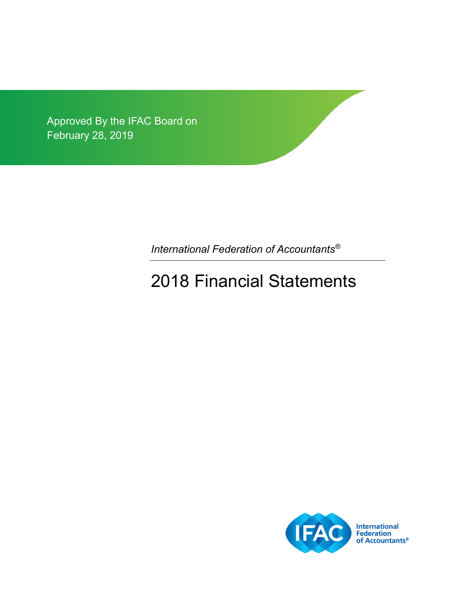Approved By the IFAC Board on February 28, 2019

*International Federation of Accountants®*

## 2018 Financial Statements

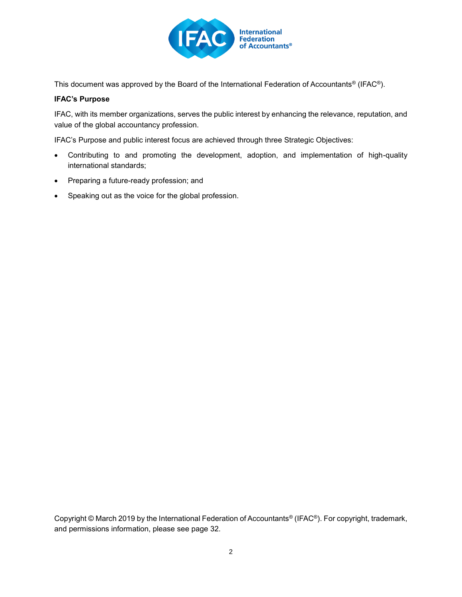

This document was approved by the Board of the International Federation of Accountants® (IFAC®).

## **IFAC's Purpose**

IFAC, with its member organizations, serves the public interest by enhancing the relevance, reputation, and value of the global accountancy profession.

IFAC's Purpose and public interest focus are achieved through three Strategic Objectives:

- Contributing to and promoting the development, adoption, and implementation of high-quality international standards;
- Preparing a future-ready profession; and
- Speaking out as the voice for the global profession.

Copyright © March 2019 by the International Federation of Accountants® (IFAC®). For copyright, trademark, and permissions information, please see page 32.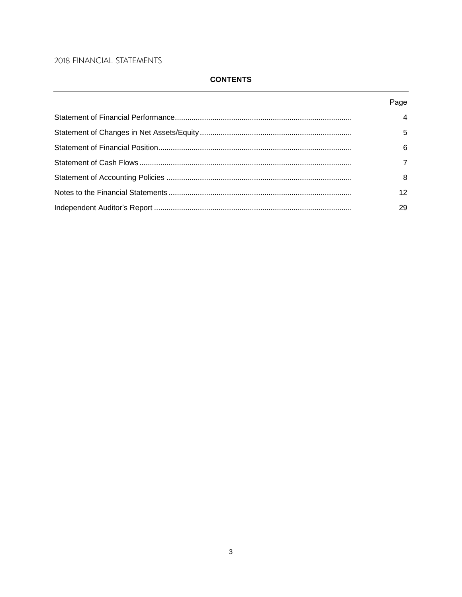#### 2018 FINANCIAL STATEMENTS

## **CONTENTS**

| Page            |
|-----------------|
| $\overline{4}$  |
| 5               |
| 6               |
| $\overline{7}$  |
| 8               |
| 12 <sup>2</sup> |
| 29              |
|                 |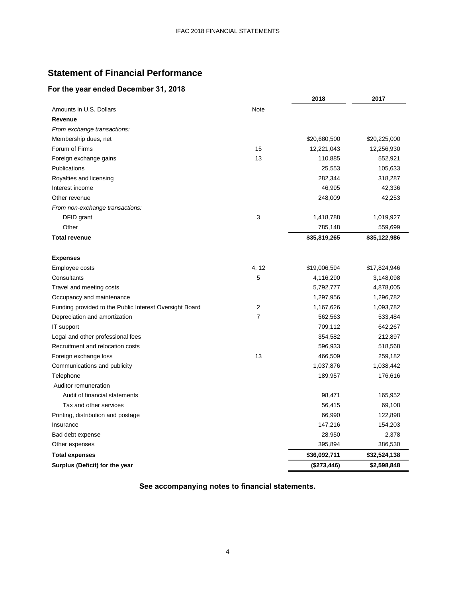## <span id="page-3-0"></span>**Statement of Financial Performance**

## **For the year ended December 31, 2018**

|                                                         |                | 2018               | 2017               |
|---------------------------------------------------------|----------------|--------------------|--------------------|
| Amounts in U.S. Dollars                                 | Note           |                    |                    |
| Revenue                                                 |                |                    |                    |
| From exchange transactions:                             |                |                    |                    |
| Membership dues, net                                    |                | \$20,680,500       | \$20,225,000       |
| Forum of Firms                                          | 15             | 12,221,043         | 12,256,930         |
| Foreign exchange gains                                  | 13             | 110,885            | 552,921            |
| Publications                                            |                | 25,553             | 105,633            |
| Royalties and licensing                                 |                | 282,344            | 318,287            |
| Interest income                                         |                | 46,995             | 42,336             |
| Other revenue                                           |                | 248,009            | 42,253             |
| From non-exchange transactions:                         |                |                    |                    |
| DFID grant                                              | 3              | 1,418,788          | 1,019,927          |
| Other                                                   |                | 785,148            | 559,699            |
| <b>Total revenue</b>                                    |                | \$35,819,265       | \$35,122,986       |
|                                                         |                |                    |                    |
| <b>Expenses</b>                                         |                |                    |                    |
| Employee costs<br>Consultants                           | 4, 12<br>5     | \$19,006,594       | \$17,824,946       |
|                                                         |                | 4,116,290          | 3,148,098          |
| Travel and meeting costs                                |                | 5,792,777          | 4,878,005          |
| Occupancy and maintenance                               | 2              | 1,297,956          | 1,296,782          |
| Funding provided to the Public Interest Oversight Board | $\overline{7}$ | 1,167,626          | 1,093,782          |
| Depreciation and amortization                           |                | 562,563            | 533,484            |
| IT support<br>Legal and other professional fees         |                | 709,112<br>354,582 | 642,267<br>212,897 |
| Recruitment and relocation costs                        |                | 596,933            | 518,568            |
|                                                         | 13             | 466,509            | 259,182            |
| Foreign exchange loss<br>Communications and publicity   |                | 1,037,876          | 1,038,442          |
| Telephone                                               |                | 189,957            | 176,616            |
| Auditor remuneration                                    |                |                    |                    |
| Audit of financial statements                           |                | 98,471             | 165,952            |
| Tax and other services                                  |                | 56,415             | 69,108             |
| Printing, distribution and postage                      |                | 66,990             | 122,898            |
| Insurance                                               |                | 147,216            | 154,203            |
| Bad debt expense                                        |                | 28,950             | 2,378              |
| Other expenses                                          |                | 395,894            | 386,530            |
| <b>Total expenses</b>                                   |                | \$36,092,711       | \$32,524,138       |
|                                                         |                | (\$273,446)        | \$2,598,848        |
| Surplus (Deficit) for the year                          |                |                    |                    |

**See accompanying notes to financial statements.**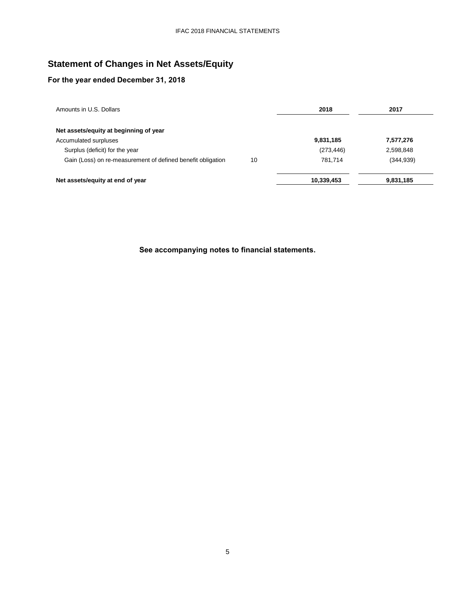## <span id="page-4-0"></span>**Statement of Changes in Net Assets/Equity**

## **For the year ended December 31, 2018**

| Amounts in U.S. Dollars                                     |    | 2018       | 2017       |
|-------------------------------------------------------------|----|------------|------------|
| Net assets/equity at beginning of year                      |    |            |            |
| Accumulated surpluses                                       |    | 9,831,185  | 7,577,276  |
| Surplus (deficit) for the year                              |    | (273, 446) | 2,598,848  |
| Gain (Loss) on re-measurement of defined benefit obligation | 10 | 781.714    | (344, 939) |
| Net assets/equity at end of year                            |    | 10,339,453 | 9,831,185  |

**See accompanying notes to financial statements.**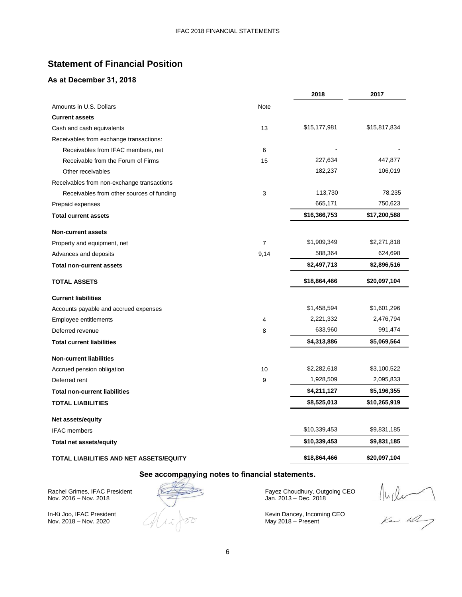## <span id="page-5-0"></span>**Statement of Financial Position**

## **As at December 31, 2018**

|                                            |                | 2018         | 2017         |
|--------------------------------------------|----------------|--------------|--------------|
| Amounts in U.S. Dollars                    | Note           |              |              |
| <b>Current assets</b>                      |                |              |              |
| Cash and cash equivalents                  | 13             | \$15,177,981 | \$15,817,834 |
| Receivables from exchange transactions:    |                |              |              |
| Receivables from IFAC members, net         | 6              |              |              |
| Receivable from the Forum of Firms         | 15             | 227,634      | 447,877      |
| Other receivables                          |                | 182,237      | 106,019      |
| Receivables from non-exchange transactions |                |              |              |
| Receivables from other sources of funding  | 3              | 113,730      | 78,235       |
| Prepaid expenses                           |                | 665,171      | 750,623      |
| <b>Total current assets</b>                |                | \$16,366,753 | \$17,200,588 |
| <b>Non-current assets</b>                  |                |              |              |
| Property and equipment, net                | $\overline{7}$ | \$1,909,349  | \$2,271,818  |
| Advances and deposits                      | 9,14           | 588,364      | 624,698      |
| <b>Total non-current assets</b>            |                | \$2,497,713  | \$2,896,516  |
| <b>TOTAL ASSETS</b>                        |                | \$18,864,466 | \$20,097,104 |
| <b>Current liabilities</b>                 |                |              |              |
| Accounts payable and accrued expenses      |                | \$1,458,594  | \$1,601,296  |
| Employee entitlements                      | 4              | 2,221,332    | 2,476,794    |
| Deferred revenue                           | 8              | 633,960      | 991,474      |
| <b>Total current liabilities</b>           |                | \$4,313,886  | \$5,069,564  |
| <b>Non-current liabilities</b>             |                |              |              |
| Accrued pension obligation                 | 10             | \$2,282,618  | \$3,100,522  |
| Deferred rent                              | 9              | 1,928,509    | 2,095,833    |
| <b>Total non-current liabilities</b>       |                | \$4,211,127  | \$5,196,355  |
| <b>TOTAL LIABILITIES</b>                   |                | \$8,525,013  | \$10,265,919 |
| Net assets/equity                          |                |              |              |
| <b>IFAC</b> members                        |                | \$10,339,453 | \$9,831,185  |
| Total net assets/equity                    |                | \$10,339,453 | \$9,831,185  |
| TOTAL LIABILITIES AND NET ASSETS/EQUITY    |                | \$18,864,466 | \$20,097,104 |

#### **See accompanying notes to financial statements.**

Nov. 2016 – Nov. 2018 Jan. 2013 – Dec. 2018

Nov. 2018 – Nov. 2020

Rachel Grimes, IFAC President Nov. 2016 – Nov. 2018<br>
In-Ki Joo, IFAC President Kevin Dancey, Incoming CEO<br>
Nov. 2018 – Nov. 2020<br> *In-Ki Joo, IFAC President* Kevin Dancey, Incoming CEO<br>
May 2018 – Present

Rachel Grimes, IFAC President  $\left(\frac{K+1}{K}\right)^{K}$  Fayez Choudhury, Outgoing CEO

Muchan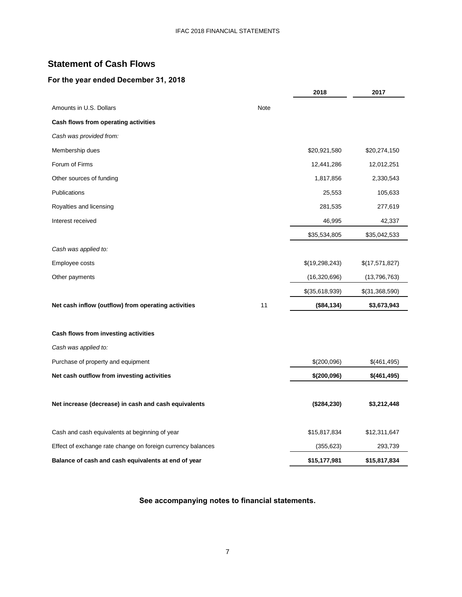## <span id="page-6-0"></span>**Statement of Cash Flows**

## **For the year ended December 31, 2018**

|                                                             |      | 2018             | 2017           |
|-------------------------------------------------------------|------|------------------|----------------|
| Amounts in U.S. Dollars                                     | Note |                  |                |
| Cash flows from operating activities                        |      |                  |                |
| Cash was provided from:                                     |      |                  |                |
| Membership dues                                             |      | \$20,921,580     | \$20,274,150   |
| Forum of Firms                                              |      | 12,441,286       | 12,012,251     |
| Other sources of funding                                    |      | 1,817,856        | 2,330,543      |
| Publications                                                |      | 25,553           | 105,633        |
| Royalties and licensing                                     |      | 281,535          | 277,619        |
| Interest received                                           |      | 46,995           | 42,337         |
|                                                             |      | \$35,534,805     | \$35,042,533   |
| Cash was applied to:                                        |      |                  |                |
| Employee costs                                              |      | \$(19, 298, 243) | \$(17,571,827) |
| Other payments                                              |      | (16,320,696)     | (13,796,763)   |
|                                                             |      | \$(35,618,939)   | \$(31,368,590) |
| Net cash inflow (outflow) from operating activities         | 11   | (\$84,134)       | \$3,673,943    |
| Cash flows from investing activities                        |      |                  |                |
| Cash was applied to:                                        |      |                  |                |
| Purchase of property and equipment                          |      | \$(200,096)      | \$(461,495)    |
| Net cash outflow from investing activities                  |      | \$(200,096)      | \$(461,495)    |
|                                                             |      |                  |                |
| Net increase (decrease) in cash and cash equivalents        |      | (\$284,230)      | \$3,212,448    |
| Cash and cash equivalents at beginning of year              |      | \$15,817,834     | \$12,311,647   |
| Effect of exchange rate change on foreign currency balances |      | (355, 623)       | 293,739        |
| Balance of cash and cash equivalents at end of year         |      | \$15,177,981     | \$15,817,834   |

## **See accompanying notes to financial statements.**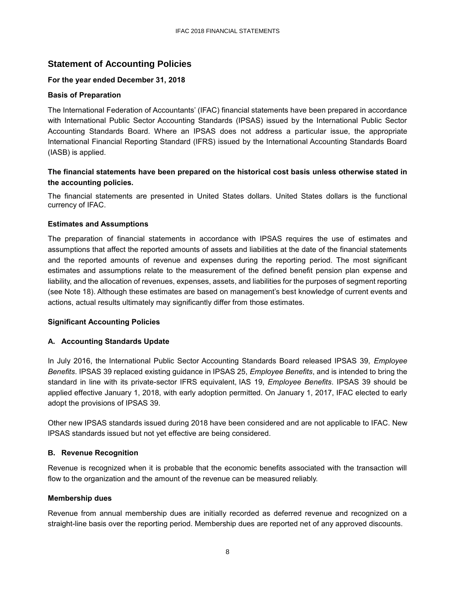## <span id="page-7-0"></span>**Statement of Accounting Policies**

## **For the year ended December 31, 2018**

## **Basis of Preparation**

The International Federation of Accountants' (IFAC) financial statements have been prepared in accordance with International Public Sector Accounting Standards (IPSAS) issued by the International Public Sector Accounting Standards Board. Where an IPSAS does not address a particular issue, the appropriate International Financial Reporting Standard (IFRS) issued by the International Accounting Standards Board (IASB) is applied.

## **The financial statements have been prepared on the historical cost basis unless otherwise stated in the accounting policies.**

The financial statements are presented in United States dollars. United States dollars is the functional currency of IFAC.

#### **Estimates and Assumptions**

The preparation of financial statements in accordance with IPSAS requires the use of estimates and assumptions that affect the reported amounts of assets and liabilities at the date of the financial statements and the reported amounts of revenue and expenses during the reporting period. The most significant estimates and assumptions relate to the measurement of the defined benefit pension plan expense and liability, and the allocation of revenues, expenses, assets, and liabilities for the purposes of segment reporting (see Note 18). Although these estimates are based on management's best knowledge of current events and actions, actual results ultimately may significantly differ from those estimates.

#### **Significant Accounting Policies**

#### **A. Accounting Standards Update**

In July 2016, the International Public Sector Accounting Standards Board released IPSAS 39, *Employee Benefits*. IPSAS 39 replaced existing guidance in IPSAS 25, *Employee Benefits*, and is intended to bring the standard in line with its private-sector IFRS equivalent, IAS 19, *Employee Benefits*. IPSAS 39 should be applied effective January 1, 2018, with early adoption permitted. On January 1, 2017, IFAC elected to early adopt the provisions of IPSAS 39.

Other new IPSAS standards issued during 2018 have been considered and are not applicable to IFAC. New IPSAS standards issued but not yet effective are being considered.

#### **B. Revenue Recognition**

Revenue is recognized when it is probable that the economic benefits associated with the transaction will flow to the organization and the amount of the revenue can be measured reliably.

#### **Membership dues**

Revenue from annual membership dues are initially recorded as deferred revenue and recognized on a straight-line basis over the reporting period. Membership dues are reported net of any approved discounts.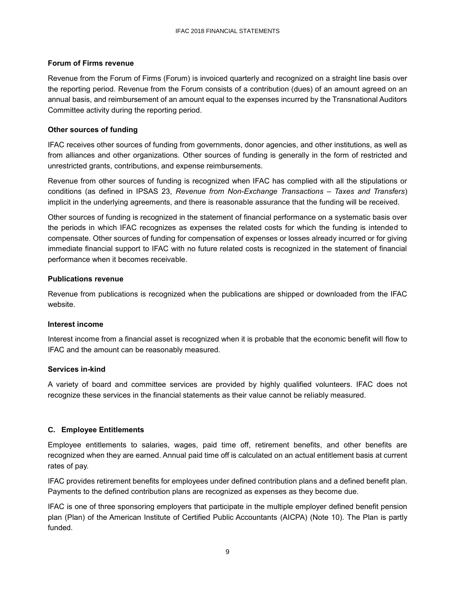#### **Forum of Firms revenue**

Revenue from the Forum of Firms (Forum) is invoiced quarterly and recognized on a straight line basis over the reporting period. Revenue from the Forum consists of a contribution (dues) of an amount agreed on an annual basis, and reimbursement of an amount equal to the expenses incurred by the Transnational Auditors Committee activity during the reporting period.

#### **Other sources of funding**

IFAC receives other sources of funding from governments, donor agencies, and other institutions, as well as from alliances and other organizations. Other sources of funding is generally in the form of restricted and unrestricted grants, contributions, and expense reimbursements.

Revenue from other sources of funding is recognized when IFAC has complied with all the stipulations or conditions (as defined in IPSAS 23, *Revenue from Non-Exchange Transactions – Taxes and Transfers*) implicit in the underlying agreements, and there is reasonable assurance that the funding will be received.

Other sources of funding is recognized in the statement of financial performance on a systematic basis over the periods in which IFAC recognizes as expenses the related costs for which the funding is intended to compensate. Other sources of funding for compensation of expenses or losses already incurred or for giving immediate financial support to IFAC with no future related costs is recognized in the statement of financial performance when it becomes receivable.

#### **Publications revenue**

Revenue from publications is recognized when the publications are shipped or downloaded from the IFAC website.

#### **Interest income**

Interest income from a financial asset is recognized when it is probable that the economic benefit will flow to IFAC and the amount can be reasonably measured.

#### **Services in-kind**

A variety of board and committee services are provided by highly qualified volunteers. IFAC does not recognize these services in the financial statements as their value cannot be reliably measured.

#### **C. Employee Entitlements**

Employee entitlements to salaries, wages, paid time off, retirement benefits, and other benefits are recognized when they are earned. Annual paid time off is calculated on an actual entitlement basis at current rates of pay.

IFAC provides retirement benefits for employees under defined contribution plans and a defined benefit plan. Payments to the defined contribution plans are recognized as expenses as they become due.

IFAC is one of three sponsoring employers that participate in the multiple employer defined benefit pension plan (Plan) of the American Institute of Certified Public Accountants (AICPA) (Note 10). The Plan is partly funded.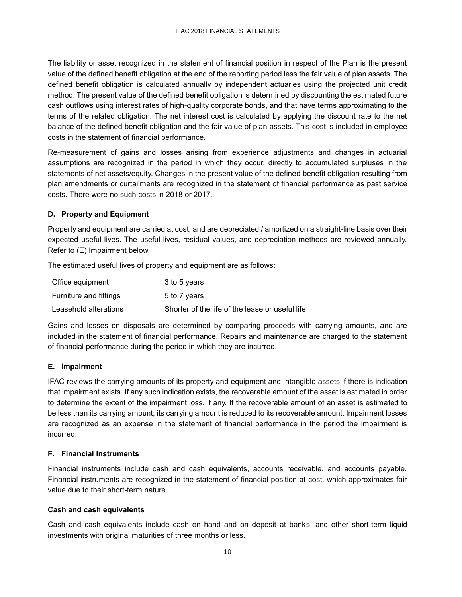The liability or asset recognized in the statement of financial position in respect of the Plan is the present value of the defined benefit obligation at the end of the reporting period less the fair value of plan assets. The defined benefit obligation is calculated annually by independent actuaries using the projected unit credit method. The present value of the defined benefit obligation is determined by discounting the estimated future cash outflows using interest rates of high-quality corporate bonds, and that have terms approximating to the terms of the related obligation. The net interest cost is calculated by applying the discount rate to the net balance of the defined benefit obligation and the fair value of plan assets. This cost is included in employee costs in the statement of financial performance.

Re-measurement of gains and losses arising from experience adjustments and changes in actuarial assumptions are recognized in the period in which they occur, directly to accumulated surpluses in the statements of net assets/equity. Changes in the present value of the defined benefit obligation resulting from plan amendments or curtailments are recognized in the statement of financial performance as past service costs. There were no such costs in 2018 or 2017.

## **D. Property and Equipment**

Property and equipment are carried at cost, and are depreciated / amortized on a straight-line basis over their expected useful lives. The useful lives, residual values, and depreciation methods are reviewed annually. Refer to (E) Impairment below.

The estimated useful lives of property and equipment are as follows:

| Office equipment       | 3 to 5 years                                    |
|------------------------|-------------------------------------------------|
| Furniture and fittings | 5 to 7 years                                    |
| Leasehold alterations  | Shorter of the life of the lease or useful life |

Gains and losses on disposals are determined by comparing proceeds with carrying amounts, and are included in the statement of financial performance. Repairs and maintenance are charged to the statement of financial performance during the period in which they are incurred.

#### **E. Impairment**

IFAC reviews the carrying amounts of its property and equipment and intangible assets if there is indication that impairment exists. If any such indication exists, the recoverable amount of the asset is estimated in order to determine the extent of the impairment loss, if any. If the recoverable amount of an asset is estimated to be less than its carrying amount, its carrying amount is reduced to its recoverable amount. Impairment losses are recognized as an expense in the statement of financial performance in the period the impairment is incurred.

#### **F. Financial Instruments**

Financial instruments include cash and cash equivalents, accounts receivable, and accounts payable. Financial instruments are recognized in the statement of financial position at cost, which approximates fair value due to their short-term nature.

#### **Cash and cash equivalents**

Cash and cash equivalents include cash on hand and on deposit at banks, and other short-term liquid investments with original maturities of three months or less.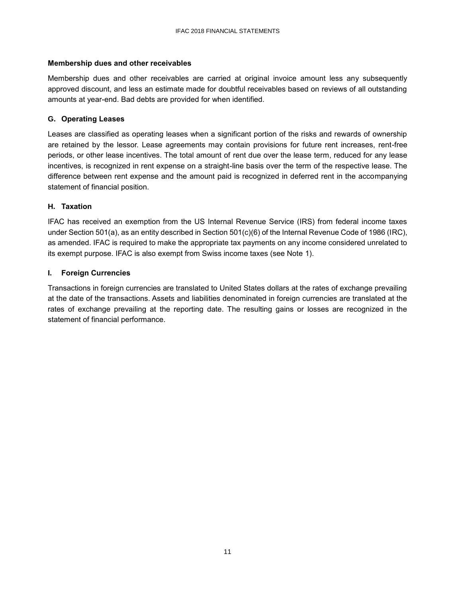#### **Membership dues and other receivables**

Membership dues and other receivables are carried at original invoice amount less any subsequently approved discount, and less an estimate made for doubtful receivables based on reviews of all outstanding amounts at year-end. Bad debts are provided for when identified.

## **G. Operating Leases**

Leases are classified as operating leases when a significant portion of the risks and rewards of ownership are retained by the lessor. Lease agreements may contain provisions for future rent increases, rent-free periods, or other lease incentives. The total amount of rent due over the lease term, reduced for any lease incentives, is recognized in rent expense on a straight-line basis over the term of the respective lease. The difference between rent expense and the amount paid is recognized in deferred rent in the accompanying statement of financial position.

## **H. Taxation**

IFAC has received an exemption from the US Internal Revenue Service (IRS) from federal income taxes under Section 501(a), as an entity described in Section 501(c)(6) of the Internal Revenue Code of 1986 (IRC), as amended. IFAC is required to make the appropriate tax payments on any income considered unrelated to its exempt purpose. IFAC is also exempt from Swiss income taxes (see Note [1\)](#page-11-1).

#### **I. Foreign Currencies**

Transactions in foreign currencies are translated to United States dollars at the rates of exchange prevailing at the date of the transactions. Assets and liabilities denominated in foreign currencies are translated at the rates of exchange prevailing at the reporting date. The resulting gains or losses are recognized in the statement of financial performance.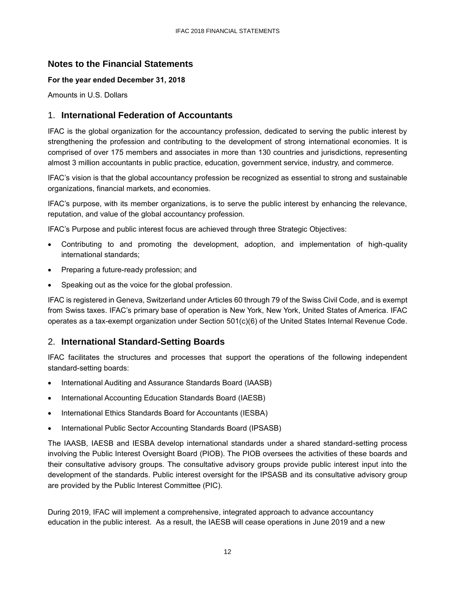## <span id="page-11-0"></span>**Notes to the Financial Statements**

## **For the year ended December 31, 2018**

<span id="page-11-1"></span>Amounts in U.S. Dollars

## 1. **International Federation of Accountants**

IFAC is the global organization for the accountancy profession, dedicated to serving the public interest by strengthening the profession and contributing to the development of strong international economies. It is comprised of over 175 members and associates in more than 130 countries and jurisdictions, representing almost 3 million accountants in public practice, education, government service, industry, and commerce.

IFAC's vision is that the global accountancy profession be recognized as essential to strong and sustainable organizations, financial markets, and economies.

IFAC's purpose, with its member organizations, is to serve the public interest by enhancing the relevance, reputation, and value of the global accountancy profession.

IFAC's Purpose and public interest focus are achieved through three Strategic Objectives:

- Contributing to and promoting the development, adoption, and implementation of high-quality international standards;
- Preparing a future-ready profession; and
- Speaking out as the voice for the global profession.

IFAC is registered in Geneva, Switzerland under Articles 60 through 79 of the Swiss Civil Code, and is exempt from Swiss taxes. IFAC's primary base of operation is New York, New York, United States of America. IFAC operates as a tax-exempt organization under Section 501(c)(6) of the United States Internal Revenue Code.

## 2. **International Standard-Setting Boards**

IFAC facilitates the structures and processes that support the operations of the following independent standard-setting boards:

- International Auditing and Assurance Standards Board (IAASB)
- International Accounting Education Standards Board (IAESB)
- International Ethics Standards Board for Accountants (IESBA)
- International Public Sector Accounting Standards Board (IPSASB)

The [IAASB,](http://www.iaasb.org/) IAESB and IESBA develop international standards under a shared standard-setting process involving the Public Interest Oversight Board (PIOB). The PIOB oversees the activities of these boards and their consultative advisory groups. The consultative advisory groups provide public interest input into the development of the standards. Public interest oversight for the IPSASB and its consultative advisory group are provided by the Public Interest Committee (PIC).

During 2019, IFAC will implement a comprehensive, integrated approach to advance accountancy education in the public interest. As a result, the IAESB will cease operations in June 2019 and a new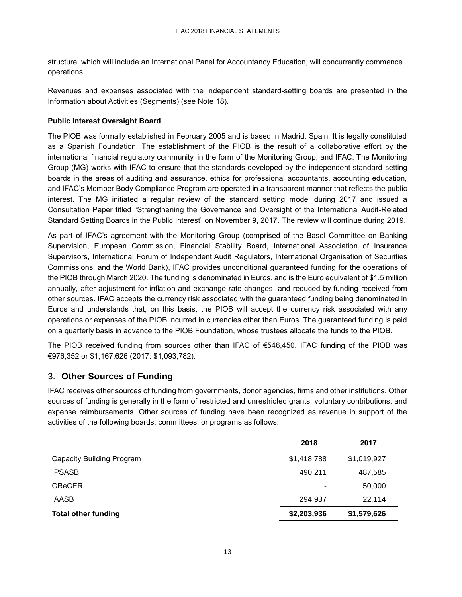structure, which will include an International Panel for Accountancy Education, will concurrently commence operations.

Revenues and expenses associated with the independent standard-setting boards are presented in the Information about Activities (Segments) (see Note 18).

#### **Public Interest Oversight Board**

The PIOB was formally established in February 2005 and is based in Madrid, Spain. It is legally constituted as a Spanish Foundation. The establishment of the PIOB is the result of a collaborative effort by the international financial regulatory community, in the form of the Monitoring Group, and IFAC. The Monitoring Group (MG) works with IFAC to ensure that the standards developed by the independent standard-setting boards in the areas of auditing and assurance, ethics for professional accountants, accounting education, and IFAC's Member Body Compliance Program are operated in a transparent manner that reflects the public interest. The MG initiated a regular review of the standard setting model during 2017 and issued a Consultation Paper titled "Strengthening the Governance and Oversight of the International Audit-Related Standard Setting Boards in the Public Interest" on November 9, 2017. The review will continue during 2019.

As part of IFAC's agreement with the Monitoring Group (comprised of the Basel Committee on Banking Supervision, European Commission, Financial Stability Board, International Association of Insurance Supervisors, International Forum of Independent Audit Regulators, International Organisation of Securities Commissions, and the World Bank), IFAC provides unconditional guaranteed funding for the operations of the PIOB through March 2020. The funding is denominated in Euros, and is the Euro equivalent of \$1.5 million annually, after adjustment for inflation and exchange rate changes, and reduced by funding received from other sources. IFAC accepts the currency risk associated with the guaranteed funding being denominated in Euros and understands that, on this basis, the PIOB will accept the currency risk associated with any operations or expenses of the PIOB incurred in currencies other than Euros. The guaranteed funding is paid on a quarterly basis in advance to the PIOB Foundation, whose trustees allocate the funds to the PIOB.

The PIOB received funding from sources other than IFAC of  $€546,450$ . IFAC funding of the PIOB was €976,352 or \$1,167,626 (2017: \$1,093,782).

## 3. **Other Sources of Funding**

IFAC receives other sources of funding from governments, donor agencies, firms and other institutions. Other sources of funding is generally in the form of restricted and unrestricted grants, voluntary contributions, and expense reimbursements. Other sources of funding have been recognized as revenue in support of the activities of the following boards, committees, or programs as follows:

|                            | 2018        | 2017        |
|----------------------------|-------------|-------------|
| Capacity Building Program  | \$1,418,788 | \$1,019,927 |
| <b>IPSASB</b>              | 490,211     | 487,585     |
| <b>CReCER</b>              | ۰           | 50,000      |
| <b>IAASB</b>               | 294,937     | 22.114      |
| <b>Total other funding</b> | \$2,203,936 | \$1,579,626 |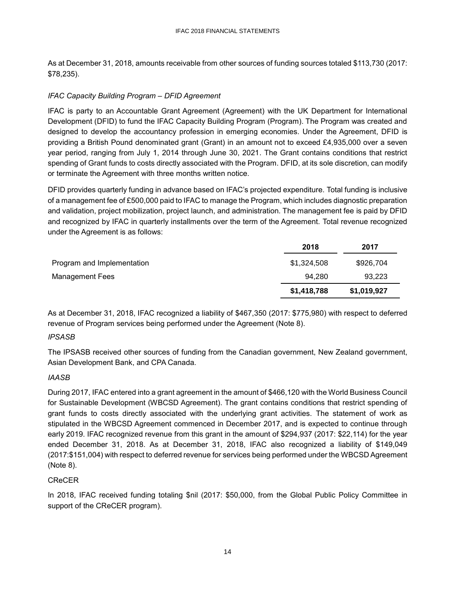As at December 31, 2018, amounts receivable from other sources of funding sources totaled \$113,730 (2017: \$78,235).

## *IFAC Capacity Building Program – DFID Agreement*

IFAC is party to an Accountable Grant Agreement (Agreement) with the UK Department for International Development (DFID) to fund the IFAC Capacity Building Program (Program). The Program was created and designed to develop the accountancy profession in emerging economies. Under the Agreement, DFID is providing a British Pound denominated grant (Grant) in an amount not to exceed £4,935,000 over a seven year period, ranging from July 1, 2014 through June 30, 2021. The Grant contains conditions that restrict spending of Grant funds to costs directly associated with the Program. DFID, at its sole discretion, can modify or terminate the Agreement with three months written notice.

DFID provides quarterly funding in advance based on IFAC's projected expenditure. Total funding is inclusive of a management fee of £500,000 paid to IFAC to manage the Program, which includes diagnostic preparation and validation, project mobilization, project launch, and administration. The management fee is paid by DFID and recognized by IFAC in quarterly installments over the term of the Agreement. Total revenue recognized under the Agreement is as follows:

|                            | 2018        | 2017        |
|----------------------------|-------------|-------------|
| Program and Implementation | \$1,324,508 | \$926,704   |
| <b>Management Fees</b>     | 94.280      | 93,223      |
|                            | \$1,418,788 | \$1,019,927 |

As at December 31, 2018, IFAC recognized a liability of \$467,350 (2017: \$775,980) with respect to deferred revenue of Program services being performed under the Agreement (Note 8).

#### *IPSASB*

The IPSASB received other sources of funding from the Canadian government, New Zealand government, Asian Development Bank, and CPA Canada.

#### *IAASB*

During 2017, IFAC entered into a grant agreement in the amount of \$466,120 with the World Business Council for Sustainable Development (WBCSD Agreement). The grant contains conditions that restrict spending of grant funds to costs directly associated with the underlying grant activities. The statement of work as stipulated in the WBCSD Agreement commenced in December 2017, and is expected to continue through early 2019. IFAC recognized revenue from this grant in the amount of \$294,937 (2017: \$22,114) for the year ended December 31, 2018. As at December 31, 2018, IFAC also recognized a liability of \$149,049 (2017:\$151,004) with respect to deferred revenue for services being performed under the WBCSD Agreement (Note 8).

#### CReCER

In 2018, IFAC received funding totaling \$nil (2017: \$50,000, from the Global Public Policy Committee in support of the CReCER program).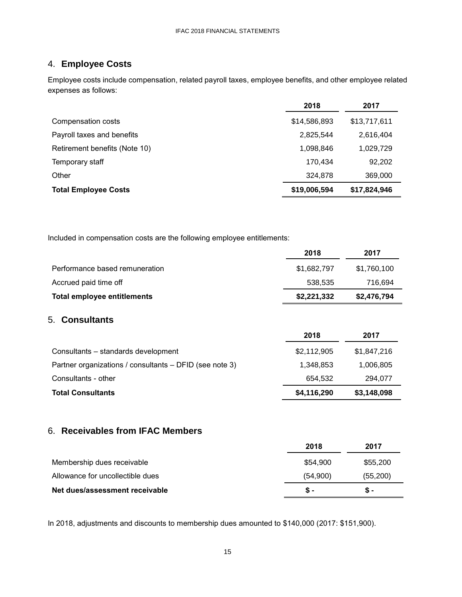## 4. **Employee Costs**

Employee costs include compensation, related payroll taxes, employee benefits, and other employee related expenses as follows:

|                               | 2018         | 2017         |
|-------------------------------|--------------|--------------|
| Compensation costs            | \$14,586,893 | \$13,717,611 |
| Payroll taxes and benefits    | 2,825,544    | 2,616,404    |
| Retirement benefits (Note 10) | 1,098,846    | 1,029,729    |
| Temporary staff               | 170.434      | 92,202       |
| Other                         | 324,878      | 369,000      |
| <b>Total Employee Costs</b>   | \$19,006,594 | \$17,824,946 |

Included in compensation costs are the following employee entitlements:

|                                | 2018        | 2017        |
|--------------------------------|-------------|-------------|
| Performance based remuneration | \$1,682,797 | \$1.760.100 |
| Accrued paid time off          | 538.535     | 716.694     |
| Total employee entitlements    | \$2,221,332 | \$2,476,794 |

## 5. **Consultants**

|                                                         | 2018        | 2017        |
|---------------------------------------------------------|-------------|-------------|
| Consultants - standards development                     | \$2,112,905 | \$1,847,216 |
| Partner organizations / consultants - DFID (see note 3) | 1,348,853   | 1,006,805   |
| Consultants - other                                     | 654.532     | 294.077     |
| <b>Total Consultants</b>                                | \$4,116,290 | \$3,148,098 |

## 6. **Receivables from IFAC Members**

|                                  | 2018     | 2017     |
|----------------------------------|----------|----------|
| Membership dues receivable       | \$54,900 | \$55,200 |
| Allowance for uncollectible dues | (54.900) | (55.200) |
| Net dues/assessment receivable   | Տ.       | Տ -      |

In 2018, adjustments and discounts to membership dues amounted to \$140,000 (2017: \$151,900).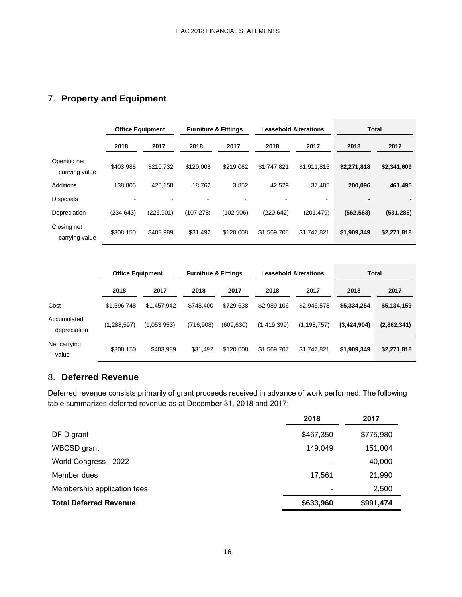## 7. **Property and Equipment**

|                               | <b>Office Equipment</b> |            | <b>Furniture &amp; Fittings</b> |            | <b>Leasehold Alterations</b> |                          | <b>Total</b> |             |
|-------------------------------|-------------------------|------------|---------------------------------|------------|------------------------------|--------------------------|--------------|-------------|
|                               | 2018                    | 2017       | 2018                            | 2017       | 2018                         | 2017                     | 2018         | 2017        |
| Opening net<br>carrying value | \$403,988               | \$210,732  | \$120,008                       | \$219,062  | \$1,747,821                  | \$1,911,815              | \$2,271,818  | \$2,341,609 |
| Additions                     | 138.805                 | 420.158    | 18,762                          | 3,852      | 42,529                       | 37.485                   | 200.096      | 461,495     |
| <b>Disposals</b>              |                         |            |                                 |            |                              | $\overline{\phantom{a}}$ |              |             |
| Depreciation                  | (234, 643)              | (226, 901) | (107, 278)                      | (102, 906) | (220,642)                    | (201, 479)               | (562, 563)   | (531, 286)  |
| Closing net<br>carrying value | \$308,150               | \$403,989  | \$31,492                        | \$120,008  | \$1,569,708                  | \$1,747,821              | \$1,909,349  | \$2,271,818 |

|                             | <b>Office Equipment</b> |             | <b>Furniture &amp; Fittings</b> |            | Leasehold Alterations |               | <b>Total</b> |             |
|-----------------------------|-------------------------|-------------|---------------------------------|------------|-----------------------|---------------|--------------|-------------|
|                             | 2018                    | 2017        | 2018                            | 2017       | 2018                  | 2017          | 2018         | 2017        |
| Cost                        | \$1,596,748             | \$1,457,942 | \$748,400                       | \$729.638  | \$2,989,106           | \$2,946,578   | \$5,334,254  | \$5,134,159 |
| Accumulated<br>depreciation | (1,288,597)             | (1,053,953) | (716,908)                       | (609, 630) | (1,419,399)           | (1, 198, 757) | (3,424,904)  | (2,862,341) |
| Net carrying<br>value       | \$308,150               | \$403.989   | \$31,492                        | \$120,008  | \$1,569,707           | \$1,747,821   | \$1,909,349  | \$2,271,818 |

## 8. **Deferred Revenue**

Deferred revenue consists primarily of grant proceeds received in advance of work performed. The following table summarizes deferred revenue as at December 31, 2018 and 2017:

|                               | 2018      | 2017      |
|-------------------------------|-----------|-----------|
| DFID grant                    | \$467,350 | \$775,980 |
| WBCSD grant                   | 149,049   | 151,004   |
| World Congress - 2022         |           | 40,000    |
| Member dues                   | 17,561    | 21,990    |
| Membership application fees   |           | 2,500     |
| <b>Total Deferred Revenue</b> | \$633,960 | \$991,474 |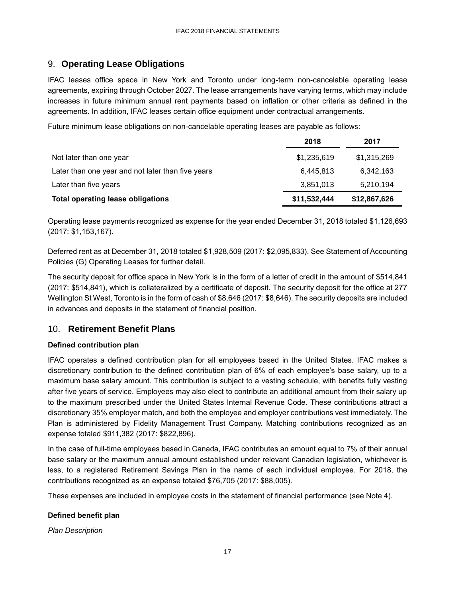## 9. **Operating Lease Obligations**

IFAC leases office space in New York and Toronto under long-term non-cancelable operating lease agreements, expiring through October 2027. The lease arrangements have varying terms, which may include increases in future minimum annual rent payments based on inflation or other criteria as defined in the agreements. In addition, IFAC leases certain office equipment under contractual arrangements.

Future minimum lease obligations on non-cancelable operating leases are payable as follows:

|                                                   | 2018         | 2017         |
|---------------------------------------------------|--------------|--------------|
| Not later than one year                           | \$1,235,619  | \$1,315,269  |
| Later than one year and not later than five years | 6,445,813    | 6,342,163    |
| Later than five years                             | 3,851,013    | 5,210,194    |
| <b>Total operating lease obligations</b>          | \$11,532,444 | \$12,867,626 |

Operating lease payments recognized as expense for the year ended December 31, 2018 totaled \$1,126,693 (2017: \$1,153,167).

Deferred rent as at December 31, 2018 totaled \$1,928,509 (2017: \$2,095,833). See Statement of Accounting Policies (G) Operating Leases for further detail.

The security deposit for office space in New York is in the form of a letter of credit in the amount of \$514,841 (2017: \$514,841), which is collateralized by a certificate of deposit. The security deposit for the office at 277 Wellington St West, Toronto is in the form of cash of \$8,646 (2017: \$8,646). The security deposits are included in advances and deposits in the statement of financial position.

## 10. **Retirement Benefit Plans**

#### **Defined contribution plan**

IFAC operates a defined contribution plan for all employees based in the United States. IFAC makes a discretionary contribution to the defined contribution plan of 6% of each employee's base salary, up to a maximum base salary amount. This contribution is subject to a vesting schedule, with benefits fully vesting after five years of service. Employees may also elect to contribute an additional amount from their salary up to the maximum prescribed under the United States Internal Revenue Code. These contributions attract a discretionary 35% employer match, and both the employee and employer contributions vest immediately. The Plan is administered by Fidelity Management Trust Company. Matching contributions recognized as an expense totaled \$911,382 (2017: \$822,896).

In the case of full-time employees based in Canada, IFAC contributes an amount equal to 7% of their annual base salary or the maximum annual amount established under relevant Canadian legislation, whichever is less, to a registered Retirement Savings Plan in the name of each individual employee. For 2018, the contributions recognized as an expense totaled \$76,705 (2017: \$88,005).

These expenses are included in employee costs in the statement of financial performance (see Note 4).

## **Defined benefit plan**

*Plan Description*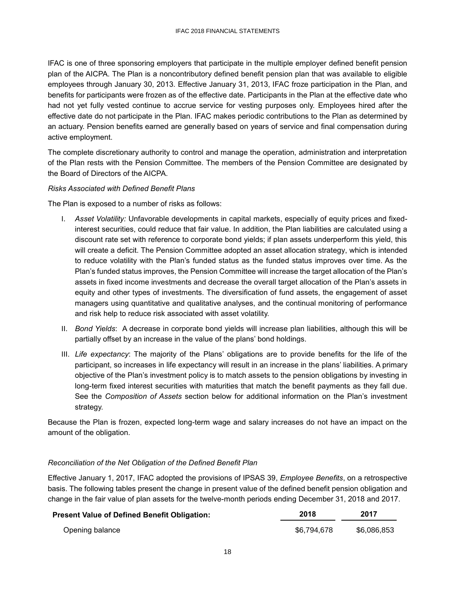IFAC is one of three sponsoring employers that participate in the multiple employer defined benefit pension plan of the AICPA. The Plan is a noncontributory defined benefit pension plan that was available to eligible employees through January 30, 2013. Effective January 31, 2013, IFAC froze participation in the Plan, and benefits for participants were frozen as of the effective date. Participants in the Plan at the effective date who had not yet fully vested continue to accrue service for vesting purposes only. Employees hired after the effective date do not participate in the Plan. IFAC makes periodic contributions to the Plan as determined by an actuary. Pension benefits earned are generally based on years of service and final compensation during active employment.

The complete discretionary authority to control and manage the operation, administration and interpretation of the Plan rests with the Pension Committee. The members of the Pension Committee are designated by the Board of Directors of the AICPA.

#### *Risks Associated with Defined Benefit Plans*

The Plan is exposed to a number of risks as follows:

- I. *Asset Volatility:* Unfavorable developments in capital markets, especially of equity prices and fixedinterest securities, could reduce that fair value. In addition, the Plan liabilities are calculated using a discount rate set with reference to corporate bond yields; if plan assets underperform this yield, this will create a deficit. The Pension Committee adopted an asset allocation strategy, which is intended to reduce volatility with the Plan's funded status as the funded status improves over time. As the Plan's funded status improves, the Pension Committee will increase the target allocation of the Plan's assets in fixed income investments and decrease the overall target allocation of the Plan's assets in equity and other types of investments. The diversification of fund assets, the engagement of asset managers using quantitative and qualitative analyses, and the continual monitoring of performance and risk help to reduce risk associated with asset volatility.
- II. *Bond Yields*: A decrease in corporate bond yields will increase plan liabilities, although this will be partially offset by an increase in the value of the plans' bond holdings.
- III. *Life expectancy*: The majority of the Plans' obligations are to provide benefits for the life of the participant, so increases in life expectancy will result in an increase in the plans' liabilities. A primary objective of the Plan's investment policy is to match assets to the pension obligations by investing in long-term fixed interest securities with maturities that match the benefit payments as they fall due. See the *Composition of Assets* section below for additional information on the Plan's investment strategy.

Because the Plan is frozen, expected long-term wage and salary increases do not have an impact on the amount of the obligation.

#### *Reconciliation of the Net Obligation of the Defined Benefit Plan*

Effective January 1, 2017, IFAC adopted the provisions of IPSAS 39, *Employee Benefits*, on a retrospective basis. The following tables present the change in present value of the defined benefit pension obligation and change in the fair value of plan assets for the twelve-month periods ending December 31, 2018 and 2017.

| <b>Present Value of Defined Benefit Obligation:</b> | 2018        | 2017        |
|-----------------------------------------------------|-------------|-------------|
| Opening balance                                     | \$6.794.678 | \$6,086,853 |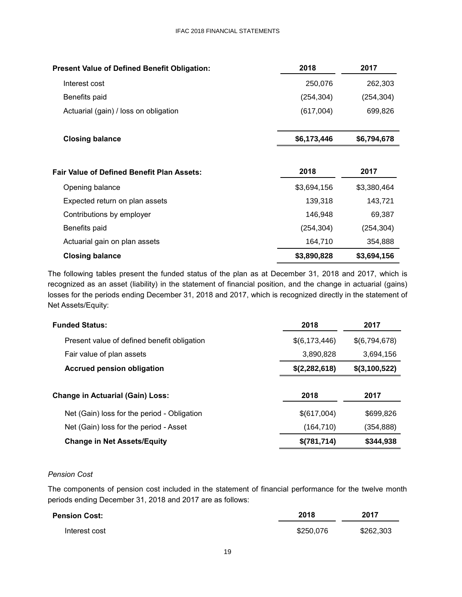#### IFAC 2018 FINANCIAL STATEMENTS

| <b>Present Value of Defined Benefit Obligation:</b> | 2018        | 2017        |
|-----------------------------------------------------|-------------|-------------|
| Interest cost                                       | 250,076     | 262,303     |
| Benefits paid                                       | (254, 304)  | (254, 304)  |
| Actuarial (gain) / loss on obligation               | (617,004)   | 699,826     |
| <b>Closing balance</b>                              | \$6,173,446 | \$6,794,678 |
| <b>Fair Value of Defined Benefit Plan Assets:</b>   | 2018        | 2017        |
| Opening balance                                     | \$3,694,156 | \$3,380,464 |
| Expected return on plan assets                      | 139,318     | 143,721     |
| Contributions by employer                           | 146,948     | 69,387      |
| Benefits paid                                       | (254, 304)  | (254, 304)  |
| Actuarial gain on plan assets                       | 164,710     | 354,888     |
| <b>Closing balance</b>                              | \$3,890,828 | \$3,694,156 |

The following tables present the funded status of the plan as at December 31, 2018 and 2017, which is recognized as an asset (liability) in the statement of financial position, and the change in actuarial (gains) losses for the periods ending December 31, 2018 and 2017, which is recognized directly in the statement of Net Assets/Equity:

| <b>Funded Status:</b>                       | 2018          | 2017          |
|---------------------------------------------|---------------|---------------|
| Present value of defined benefit obligation | \$(6,173,446) | \$(6,794,678) |
| Fair value of plan assets                   | 3,890,828     | 3,694,156     |
| <b>Accrued pension obligation</b>           | \$(2,282,618) | \$(3,100,522) |
|                                             |               |               |
| <b>Change in Actuarial (Gain) Loss:</b>     | 2018          | 2017          |
| Net (Gain) loss for the period - Obligation | \$(617,004)   | \$699,826     |
| Net (Gain) loss for the period - Asset      | (164, 710)    | (354, 888)    |
| <b>Change in Net Assets/Equity</b>          | \$(781,714)   | \$344,938     |

## *Pension Cost*

The components of pension cost included in the statement of financial performance for the twelve month periods ending December 31, 2018 and 2017 are as follows:

| <b>Pension Cost:</b> | 2018      | 2017      |
|----------------------|-----------|-----------|
| Interest cost        | \$250,076 | \$262,303 |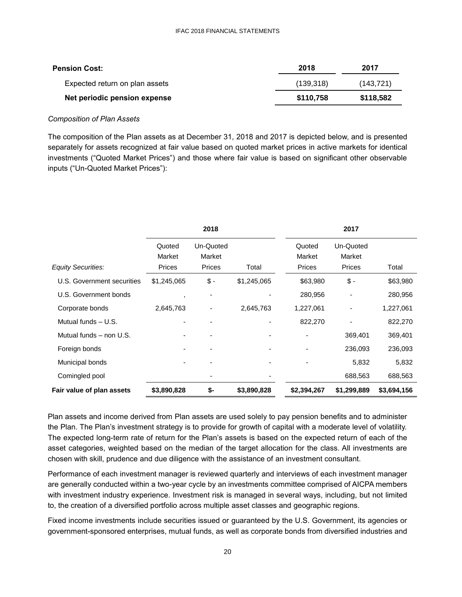#### IFAC 2018 FINANCIAL STATEMENTS

| <b>Pension Cost:</b>           | 2018      | 2017      |
|--------------------------------|-----------|-----------|
| Expected return on plan assets | (139.318) | (143.721) |
| Net periodic pension expense   | \$110.758 | \$118,582 |

#### *Composition of Plan Assets*

The composition of the Plan assets as at December 31, 2018 and 2017 is depicted below, and is presented separately for assets recognized at fair value based on quoted market prices in active markets for identical investments ("Quoted Market Prices") and those where fair value is based on significant other observable inputs ("Un-Quoted Market Prices"):

|                            | 2018                              |                                      |             |                            |                                      |             |
|----------------------------|-----------------------------------|--------------------------------------|-------------|----------------------------|--------------------------------------|-------------|
| <b>Equity Securities:</b>  | Quoted<br>Market<br><b>Prices</b> | Un-Quoted<br>Market<br><b>Prices</b> | Total       | Quoted<br>Market<br>Prices | Un-Quoted<br>Market<br><b>Prices</b> | Total       |
| U.S. Government securities | \$1,245,065                       | \$ -                                 | \$1,245,065 | \$63,980                   | $$ -$                                | \$63,980    |
| U.S. Government bonds      | $\overline{ }$                    |                                      |             | 280,956                    |                                      | 280,956     |
| Corporate bonds            | 2,645,763                         |                                      | 2,645,763   | 1,227,061                  |                                      | 1,227,061   |
| Mutual funds - U.S.        | $\overline{\phantom{0}}$          |                                      |             | 822,270                    |                                      | 822,270     |
| Mutual funds - non U.S.    |                                   |                                      |             |                            | 369,401                              | 369,401     |
| Foreign bonds              |                                   |                                      |             | $\overline{\phantom{0}}$   | 236,093                              | 236,093     |
| Municipal bonds            |                                   |                                      |             |                            | 5,832                                | 5,832       |
| Comingled pool             |                                   |                                      |             |                            | 688,563                              | 688,563     |
| Fair value of plan assets  | \$3,890,828                       | \$-                                  | \$3,890,828 | \$2,394,267                | \$1,299,889                          | \$3,694,156 |

Plan assets and income derived from Plan assets are used solely to pay pension benefits and to administer the Plan. The Plan's investment strategy is to provide for growth of capital with a moderate level of volatility. The expected long-term rate of return for the Plan's assets is based on the expected return of each of the asset categories, weighted based on the median of the target allocation for the class. All investments are chosen with skill, prudence and due diligence with the assistance of an investment consultant.

Performance of each investment manager is reviewed quarterly and interviews of each investment manager are generally conducted within a two-year cycle by an investments committee comprised of AICPA members with investment industry experience. Investment risk is managed in several ways, including, but not limited to, the creation of a diversified portfolio across multiple asset classes and geographic regions.

Fixed income investments include securities issued or guaranteed by the U.S. Government, its agencies or government-sponsored enterprises, mutual funds, as well as corporate bonds from diversified industries and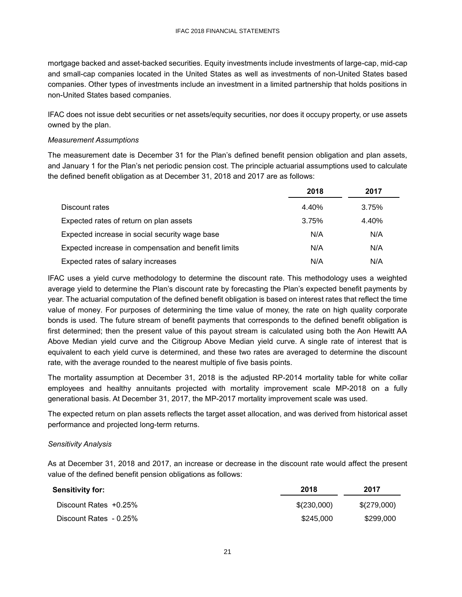mortgage backed and asset-backed securities. Equity investments include investments of large-cap, mid-cap and small-cap companies located in the United States as well as investments of non-United States based companies. Other types of investments include an investment in a limited partnership that holds positions in non-United States based companies.

IFAC does not issue debt securities or net assets/equity securities, nor does it occupy property, or use assets owned by the plan.

#### *Measurement Assumptions*

The measurement date is December 31 for the Plan's defined benefit pension obligation and plan assets, and January 1 for the Plan's net periodic pension cost. The principle actuarial assumptions used to calculate the defined benefit obligation as at December 31, 2018 and 2017 are as follows:

|                                                      | 2018  | 2017  |
|------------------------------------------------------|-------|-------|
| Discount rates                                       | 4.40% | 3.75% |
| Expected rates of return on plan assets              | 3.75% | 4.40% |
| Expected increase in social security wage base       | N/A   | N/A   |
| Expected increase in compensation and benefit limits | N/A   | N/A   |
| Expected rates of salary increases                   | N/A   | N/A   |

IFAC uses a yield curve methodology to determine the discount rate. This methodology uses a weighted average yield to determine the Plan's discount rate by forecasting the Plan's expected benefit payments by year. The actuarial computation of the defined benefit obligation is based on interest rates that reflect the time value of money. For purposes of determining the time value of money, the rate on high quality corporate bonds is used. The future stream of benefit payments that corresponds to the defined benefit obligation is first determined; then the present value of this payout stream is calculated using both the Aon Hewitt AA Above Median yield curve and the Citigroup Above Median yield curve. A single rate of interest that is equivalent to each yield curve is determined, and these two rates are averaged to determine the discount rate, with the average rounded to the nearest multiple of five basis points.

The mortality assumption at December 31, 2018 is the adjusted RP-2014 mortality table for white collar employees and healthy annuitants projected with mortality improvement scale MP-2018 on a fully generational basis. At December 31, 2017, the MP-2017 mortality improvement scale was used.

The expected return on plan assets reflects the target asset allocation, and was derived from historical asset performance and projected long-term returns.

#### *Sensitivity Analysis*

As at December 31, 2018 and 2017, an increase or decrease in the discount rate would affect the present value of the defined benefit pension obligations as follows:

| <b>Sensitivity for:</b> | 2018        | 2017        |
|-------------------------|-------------|-------------|
| Discount Rates +0.25%   | \$(230,000) | \$(279,000) |
| Discount Rates - 0.25%  | \$245,000   | \$299,000   |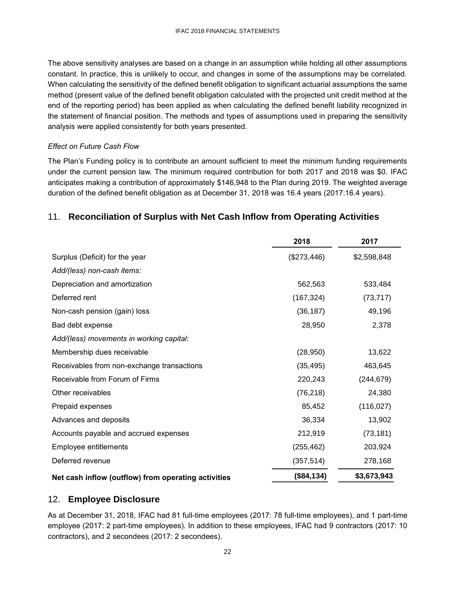The above sensitivity analyses are based on a change in an assumption while holding all other assumptions constant. In practice, this is unlikely to occur, and changes in some of the assumptions may be correlated. When calculating the sensitivity of the defined benefit obligation to significant actuarial assumptions the same method (present value of the defined benefit obligation calculated with the projected unit credit method at the end of the reporting period) has been applied as when calculating the defined benefit liability recognized in the statement of financial position. The methods and types of assumptions used in preparing the sensitivity analysis were applied consistently for both years presented.

## *Effect on Future Cash Flow*

The Plan's Funding policy is to contribute an amount sufficient to meet the minimum funding requirements under the current pension law. The minimum required contribution for both 2017 and 2018 was \$0. IFAC anticipates making a contribution of approximately \$146,948 to the Plan during 2019. The weighted average duration of the defined benefit obligation as at December 31, 2018 was 16.4 years (2017:16.4 years).

## 11. **Reconciliation of Surplus with Net Cash Inflow from Operating Activities**

|                                                     | 2018        | 2017        |
|-----------------------------------------------------|-------------|-------------|
| Surplus (Deficit) for the year                      | (\$273,446) | \$2,598,848 |
| Add/(less) non-cash items:                          |             |             |
| Depreciation and amortization                       | 562,563     | 533,484     |
| Deferred rent                                       | (167, 324)  | (73, 717)   |
| Non-cash pension (gain) loss                        | (36, 187)   | 49,196      |
| Bad debt expense                                    | 28,950      | 2,378       |
| Add/(less) movements in working capital:            |             |             |
| Membership dues receivable                          | (28,950)    | 13,622      |
| Receivables from non-exchange transactions          | (35, 495)   | 463,645     |
| Receivable from Forum of Firms                      | 220,243     | (244, 679)  |
| Other receivables                                   | (76, 218)   | 24,380      |
| Prepaid expenses                                    | 85,452      | (116, 027)  |
| Advances and deposits                               | 36,334      | 13,902      |
| Accounts payable and accrued expenses               | 212,919     | (73, 181)   |
| Employee entitlements                               | (255, 462)  | 203,924     |
| Deferred revenue                                    | (357, 514)  | 278,168     |
| Net cash inflow (outflow) from operating activities | (\$84,134)  | \$3,673,943 |

## 12. **Employee Disclosure**

As at December 31, 2018, IFAC had 81 full-time employees (2017: 78 full-time employees), and 1 part-time employee (2017: 2 part-time employees). In addition to these employees, IFAC had 9 contractors (2017: 10 contractors), and 2 secondees (2017: 2 secondees).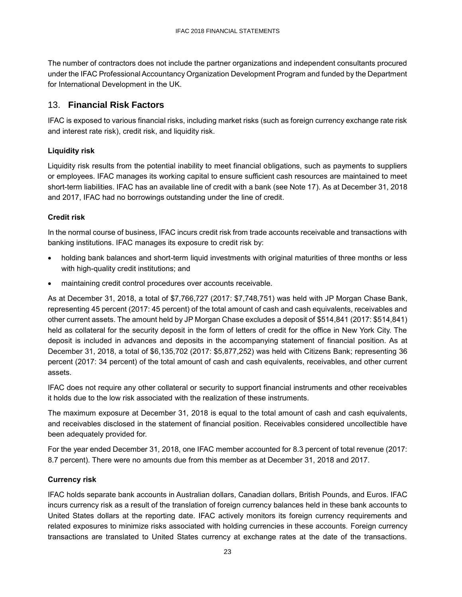The number of contractors does not include the partner organizations and independent consultants procured under the IFAC Professional Accountancy Organization Development Program and funded by the Department for International Development in the UK.

## 13. **Financial Risk Factors**

IFAC is exposed to various financial risks, including market risks (such as foreign currency exchange rate risk and interest rate risk), credit risk, and liquidity risk.

## **Liquidity risk**

Liquidity risk results from the potential inability to meet financial obligations, such as payments to suppliers or employees. IFAC manages its working capital to ensure sufficient cash resources are maintained to meet short-term liabilities. IFAC has an available line of credit with a bank (see Note 17). As at December 31, 2018 and 2017, IFAC had no borrowings outstanding under the line of credit.

## **Credit risk**

In the normal course of business, IFAC incurs credit risk from trade accounts receivable and transactions with banking institutions. IFAC manages its exposure to credit risk by:

- holding bank balances and short-term liquid investments with original maturities of three months or less with high-quality credit institutions; and
- maintaining credit control procedures over accounts receivable.

As at December 31, 2018, a total of \$7,766,727 (2017: \$7,748,751) was held with JP Morgan Chase Bank, representing 45 percent (2017: 45 percent) of the total amount of cash and cash equivalents, receivables and other current assets. The amount held by JP Morgan Chase excludes a deposit of \$514,841 (2017: \$514,841) held as collateral for the security deposit in the form of letters of credit for the office in New York City. The deposit is included in advances and deposits in the accompanying statement of financial position. As at December 31, 2018, a total of \$6,135,702 (2017: \$5,877,252) was held with Citizens Bank; representing 36 percent (2017: 34 percent) of the total amount of cash and cash equivalents, receivables, and other current assets.

IFAC does not require any other collateral or security to support financial instruments and other receivables it holds due to the low risk associated with the realization of these instruments.

The maximum exposure at December 31, 2018 is equal to the total amount of cash and cash equivalents, and receivables disclosed in the statement of financial position. Receivables considered uncollectible have been adequately provided for.

For the year ended December 31, 2018, one IFAC member accounted for 8.3 percent of total revenue (2017: 8.7 percent). There were no amounts due from this member as at December 31, 2018 and 2017.

## **Currency risk**

IFAC holds separate bank accounts in Australian dollars, Canadian dollars, British Pounds, and Euros. IFAC incurs currency risk as a result of the translation of foreign currency balances held in these bank accounts to United States dollars at the reporting date. IFAC actively monitors its foreign currency requirements and related exposures to minimize risks associated with holding currencies in these accounts. Foreign currency transactions are translated to United States currency at exchange rates at the date of the transactions.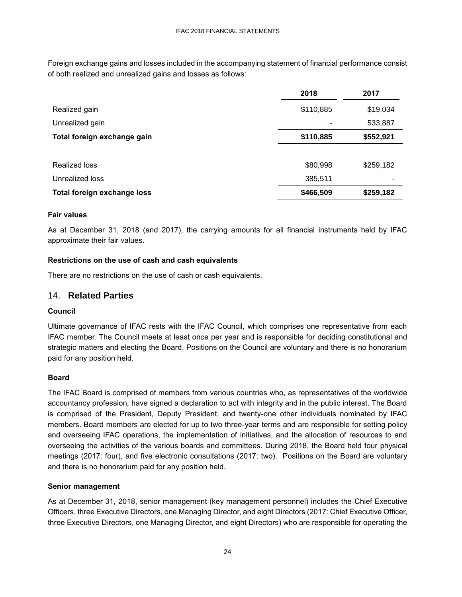Foreign exchange gains and losses included in the accompanying statement of financial performance consist of both realized and unrealized gains and losses as follows:

|                             | 2018      | 2017      |
|-----------------------------|-----------|-----------|
| Realized gain               | \$110,885 | \$19,034  |
| Unrealized gain             |           | 533,887   |
| Total foreign exchange gain | \$110,885 | \$552,921 |
|                             |           |           |
| Realized loss               | \$80,998  | \$259,182 |
| Unrealized loss             | 385,511   |           |
| Total foreign exchange loss | \$466,509 | \$259,182 |

#### **Fair values**

As at December 31, 2018 (and 2017), the carrying amounts for all financial instruments held by IFAC approximate their fair values.

#### **Restrictions on the use of cash and cash equivalents**

There are no restrictions on the use of cash or cash equivalents.

## 14. **Related Parties**

#### **Council**

Ultimate governance of IFAC rests with the IFAC Council, which comprises one representative from each IFAC member. The Council meets at least once per year and is responsible for deciding constitutional and strategic matters and electing the Board. Positions on the Council are voluntary and there is no honorarium paid for any position held.

#### **Board**

The IFAC Board is comprised of members from various countries who, as representatives of the worldwide accountancy profession, have signed a declaration to act with integrity and in the public interest. The Board is comprised of the President, Deputy President, and twenty-one other individuals nominated by IFAC members. Board members are elected for up to two three-year terms and are responsible for setting policy and overseeing IFAC operations, the implementation of initiatives, and the allocation of resources to and overseeing the activities of the various boards and committees. During 2018, the Board held four physical meetings (2017: four), and five electronic consultations (2017: two). Positions on the Board are voluntary and there is no honorarium paid for any position held.

#### **Senior management**

As at December 31, 2018, senior management (key management personnel) includes the Chief Executive Officers, three Executive Directors, one Managing Director, and eight Directors (2017: Chief Executive Officer, three Executive Directors, one Managing Director, and eight Directors) who are responsible for operating the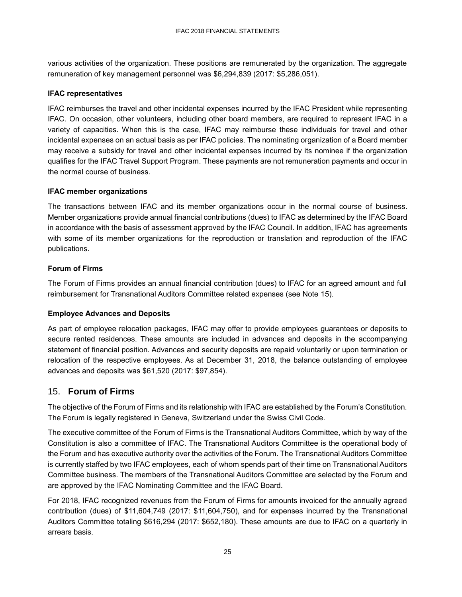various activities of the organization. These positions are remunerated by the organization. The aggregate remuneration of key management personnel was \$6,294,839 (2017: \$5,286,051).

## **IFAC representatives**

IFAC reimburses the travel and other incidental expenses incurred by the IFAC President while representing IFAC. On occasion, other volunteers, including other board members, are required to represent IFAC in a variety of capacities. When this is the case, IFAC may reimburse these individuals for travel and other incidental expenses on an actual basis as per IFAC policies. The nominating organization of a Board member may receive a subsidy for travel and other incidental expenses incurred by its nominee if the organization qualifies for the IFAC Travel Support Program. These payments are not remuneration payments and occur in the normal course of business.

## **IFAC member organizations**

The transactions between IFAC and its member organizations occur in the normal course of business. Member organizations provide annual financial contributions (dues) to IFAC as determined by the IFAC Board in accordance with the basis of assessment approved by the IFAC Council. In addition, IFAC has agreements with some of its member organizations for the reproduction or translation and reproduction of the IFAC publications.

## **Forum of Firms**

The Forum of Firms provides an annual financial contribution (dues) to IFAC for an agreed amount and full reimbursement for Transnational Auditors Committee related expenses (see Note 15).

## **Employee Advances and Deposits**

As part of employee relocation packages, IFAC may offer to provide employees guarantees or deposits to secure rented residences. These amounts are included in advances and deposits in the accompanying statement of financial position. Advances and security deposits are repaid voluntarily or upon termination or relocation of the respective employees. As at December 31, 2018, the balance outstanding of employee advances and deposits was \$61,520 (2017: \$97,854).

## 15. **Forum of Firms**

The objective of the Forum of Firms and its relationship with IFAC are established by the Forum's Constitution. The Forum is legally registered in Geneva, Switzerland under the Swiss Civil Code.

The executive committee of the Forum of Firms is the Transnational Auditors Committee, which by way of the Constitution is also a committee of IFAC. The Transnational Auditors Committee is the operational body of the Forum and has executive authority over the activities of the Forum. The Transnational Auditors Committee is currently staffed by two IFAC employees, each of whom spends part of their time on Transnational Auditors Committee business. The members of the Transnational Auditors Committee are selected by the Forum and are approved by the IFAC Nominating Committee and the IFAC Board.

For 2018, IFAC recognized revenues from the Forum of Firms for amounts invoiced for the annually agreed contribution (dues) of \$11,604,749 (2017: \$11,604,750), and for expenses incurred by the Transnational Auditors Committee totaling \$616,294 (2017: \$652,180). These amounts are due to IFAC on a quarterly in arrears basis.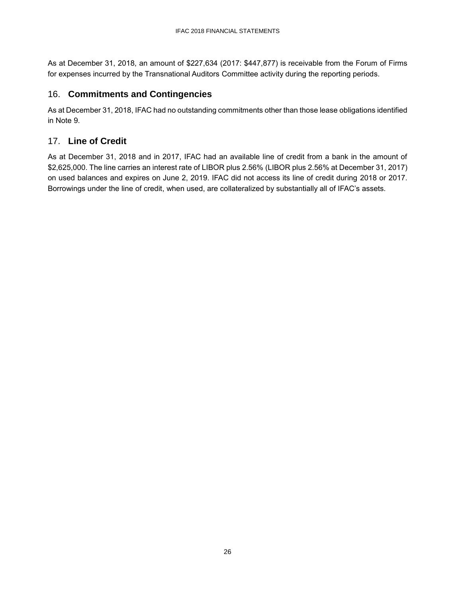As at December 31, 2018, an amount of \$227,634 (2017: \$447,877) is receivable from the Forum of Firms for expenses incurred by the Transnational Auditors Committee activity during the reporting periods.

## 16. **Commitments and Contingencies**

As at December 31, 2018, IFAC had no outstanding commitments other than those lease obligations identified in Note 9.

## 17. **Line of Credit**

As at December 31, 2018 and in 2017, IFAC had an available line of credit from a bank in the amount of \$2,625,000. The line carries an interest rate of LIBOR plus 2.56% (LIBOR plus 2.56% at December 31, 2017) on used balances and expires on June 2, 2019. IFAC did not access its line of credit during 2018 or 2017. Borrowings under the line of credit, when used, are collateralized by substantially all of IFAC's assets.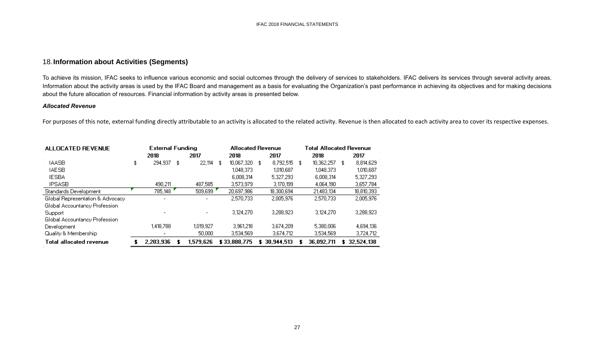#### IFAC 2018 FINANCIAL STATEMENTS

## 18.**Information about Activities (Segments)**

To achieve its mission, IFAC seeks to influence various economic and social outcomes through the delivery of services to stakeholders. IFAC delivers its services through several activity areas. Information about the activity areas is used by the IFAC Board and management as a basis for evaluating the Organization's past performance in achieving its objectives and for making decisions about the future allocation of resources. Financial information by activity areas is presented below.

#### *Allocated Revenue*

For purposes of this note, external funding directly attributable to an activity is allocated to the related activity. Revenue is then allocated to each activity area to cover its respective expenses.

| ALLOCATED REVENUE                | <b>External Funding</b> |    |                          | <b>Allocated Revenue</b> |     |            | <b>Total Allocated Revenue</b> |      |            |  |  |  |  |
|----------------------------------|-------------------------|----|--------------------------|--------------------------|-----|------------|--------------------------------|------|------------|--|--|--|--|
|                                  | 2018                    |    | 2017                     | 2018                     |     | 2017       | 2018                           | 2017 |            |  |  |  |  |
| <b>IAASB</b>                     | \$<br>294,937           | \$ | 22,114                   | \$<br>10.067.320         | -\$ | 8.792.515  | \$<br>10.362.257               | \$   | 8,814,629  |  |  |  |  |
| <b>IAESB</b>                     |                         |    |                          | 1,048,373                |     | 1.010.687  | 1,048,373                      |      | 1,010,687  |  |  |  |  |
| <b>IESBA</b>                     |                         |    |                          | 6.008.314                |     | 5.327.293  | 6,008,314                      |      | 5,327,293  |  |  |  |  |
| <b>IPSASB</b>                    | 490.211                 |    | 487,585                  | 3,573,979                |     | 3,170,199  | 4,064,190                      |      | 3,657,784  |  |  |  |  |
| Standards Development            | 785,148                 |    | 509,699                  | 20.697.986               |     | 18,300,694 | 21.483.134                     |      | 18,810,393 |  |  |  |  |
| Global Representation & Advocacy |                         |    | $\overline{\phantom{a}}$ | 2,570,733                |     | 2,005,976  | 2,570,733                      |      | 2,005,976  |  |  |  |  |
| Global Accountancy Profession    |                         |    |                          |                          |     |            |                                |      |            |  |  |  |  |
| Support                          |                         |    | $\overline{\phantom{a}}$ | 3.124.270                |     | 3,288,923  | 3.124.270                      |      | 3,288,923  |  |  |  |  |
| Global Accountancy Profession    |                         |    |                          |                          |     |            |                                |      |            |  |  |  |  |
| Development                      | 1,418,788               |    | 1,019,927                | 3.961.218                |     | 3.674.209  | 5,380,006                      |      | 4,694,136  |  |  |  |  |
| Quality & Membership             |                         |    | 50,000                   | 3,534,569                |     | 3,674,712  | 3,534,569                      |      | 3,724,712  |  |  |  |  |
| Total allocated revenue          | 2,203,936               | I  | 1,579,626                | \$33,888,775             |     | 30.944.513 | 36.092.711                     | I.   | 32.524.138 |  |  |  |  |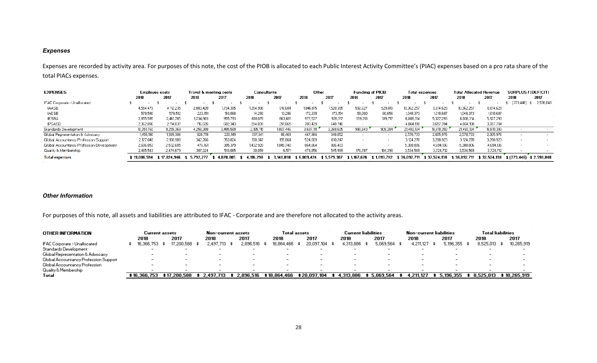## *Expenses*

Expenses are recorded by activity area. For purposes of this note, the cost of the PIOB is allocated to each Public Interest Activity Committee's (PIAC) expenses based on a pro rata share of the total PIACs expenses.

| <b>EXPENSES</b>                           | Emplovee costs           |                          | Travel & meeting costs |           | Consultants |           |             | Other       |             | <b>Funding of PIOB</b> |              | Total expenses | <b>Total Allocated Revenue</b>           |            | SURPLUS / (DEFICIT) |             |  |
|-------------------------------------------|--------------------------|--------------------------|------------------------|-----------|-------------|-----------|-------------|-------------|-------------|------------------------|--------------|----------------|------------------------------------------|------------|---------------------|-------------|--|
|                                           | 2018                     | 2017                     | 2018                   | 2017      | 2018        | 2017      | 2018        | 2017        | 2018        | 2017                   | 2018         | 2017           | 2018                                     | 2017       | 2018                | 2017        |  |
| IFAC Corporate - Unallocated              | $\overline{\phantom{0}}$ | $\overline{\phantom{a}}$ |                        |           |             |           |             |             |             |                        |              |                |                                          |            | (273, 446)          | 2,598,848   |  |
| IAASB                                     | 4,554,479                | 4,112,235                | 2,083,428              | 1,734,385 | 1,284,908   | 918,604   | 1,846,815   | 1,520,395   | 592,627     | 529,010                | 10,362,257   | 8,814,629      | 10,362,257                               | 8,814,629  |                     |             |  |
| <b>IAESB</b>                              | 579,590                  | 570,512                  | 223.151                | 193,068   | 14.293      | 13,296    | 172,339     | 173.154     | 59,000      | 60.656                 | 1,048,373    | 1,010,687      | 1,048,373                                | 1,010,687  |                     |             |  |
| <b>IESBA</b>                              | 2,855,595                | 2,461,785                | 1,234,903              | 955,793   | 601,076     | 663,681   | 977,527     | 926,317     | 339,213     | 319,717                | 6,008,314    | 5,327,293      | 6,008,314                                | 5,327,293  |                     |             |  |
| <b>IPSASB</b>                             | 2,362,096                | 2,114,837                | 716,826                | 602,343   | 284,839     | 291,865   | 700,429     | 648,740     |             |                        | 4,064,190    | 3,657,784      | 4,064,190                                | 3,657,784  |                     |             |  |
| Standards Development                     | 10,351,760               | 9,259,369                | 4,258,308              | 3,485,589 | 2,185,115   | 1,887,446 | 3,697,111   | 3.268.605   | 990,840     | 909,384                | 21,483,134   | 18,810,393     | 21,483,134                               | 18,810,393 |                     |             |  |
| Global Representation & Advocacu          | 1,456,190                | 1,389,306                | 328,719                | 220.149   | 337,841     | 48.469    | 447.984     | 348,052     |             |                        | 2,570,733    | 2.005.976      | 2,570,733                                | 2,005,976  |                     |             |  |
| Global Accountancy Profession Support     | 2,127,048                | 2,168,988                | 342,266                | 353,824   | 130,347     | 155,864   | 524,609     | 610,247     |             |                        | 3.124.270    | 3,288,923      | 3,124,270                                | 3,288,923  |                     |             |  |
| Global Accountancy Profession Development | 2,606,053                | 2,532,605                | 476.161                | 305,379   | 1,432,928   | 1.049.748 | 864,864     | 806.403     |             |                        | 5,380,006    | 4,694,136      | 5,380,006                                | 4,694,136  |                     |             |  |
| Quality & Membership                      | 2.465.543                | 2.474.679                | 387.324                | 513.065   | 30.059      | 6.571     | 474.856     | 545.999     | 176.787     | 184,398                | 3,534,569    | 3.724.712      | 3,534,569                                | 3,724,712  |                     |             |  |
| <b>Total expenses</b>                     | \$19,006.594             | \$17,824,946             | 5.792.777              | 4.878.005 | 4.116.290   | 3,148,098 | \$6.009.424 | \$5.579.307 | \$1,167,626 | \$1,093,782            | \$36,092,711 | \$32,524,138   | $$36.092.711 \t$32.524.138 \t$1273.4461$ |            |                     | \$2.598.848 |  |

## *Other Information*

For purposes of this note, all assets and liabilities are attributed to IFAC - Corporate and are therefore not allocated to the activity areas.

| OTHER INFORMATION                     | Current assets |                           |      | Non-current assets |  |           |                              | <b>Total assets</b> |  | <b>Current liabilities</b>                      |           |  |             | Non-current liabilities |           |  |           | <b>Total liabilities</b> |              |  |              |
|---------------------------------------|----------------|---------------------------|------|--------------------|--|-----------|------------------------------|---------------------|--|-------------------------------------------------|-----------|--|-------------|-------------------------|-----------|--|-----------|--------------------------|--------------|--|--------------|
|                                       | 2018           | 2017                      | 2018 |                    |  | 2017      | 2017<br>2017<br>2018<br>2018 |                     |  | 2017<br>2018                                    |           |  | 2018        |                         | 2017      |  |           |                          |              |  |              |
| IFAC Corporate - Unallocated          | 16,366,753     | 17,200,588                |      | 2.497.713 \$       |  | 2,896,516 |                              | 18,864,466          |  | 20,097,104                                      | 4,313,886 |  | 5,069,564   |                         | 4.211.127 |  | 5,196,355 |                          | 8,525,013 \$ |  | 10,265,919   |
| Standards Development                 |                |                           |      |                    |  |           |                              |                     |  | $\overline{\phantom{a}}$                        |           |  |             |                         |           |  |           |                          |              |  |              |
| Global Representation & Advocacy      |                |                           |      |                    |  |           |                              |                     |  |                                                 |           |  |             |                         |           |  |           |                          |              |  |              |
| Global Accountancy Profession Support |                |                           |      |                    |  |           |                              |                     |  |                                                 |           |  |             |                         |           |  |           |                          |              |  |              |
| Global Accountancy Profession         |                |                           |      |                    |  |           |                              |                     |  |                                                 |           |  |             |                         |           |  |           |                          |              |  |              |
| Quality & Membership                  |                |                           |      |                    |  |           |                              |                     |  |                                                 |           |  |             |                         |           |  |           |                          |              |  |              |
| Total                                 |                | \$16,366,753 \$17,200,588 |      | 2.497.713          |  |           |                              |                     |  | 2,896,516 \$18,864,466 \$20,097,104 \$4,313,886 |           |  | \$5,069,564 |                         | 4,211,127 |  | 5,196,355 |                          | \$8.525.013  |  | \$10.265.919 |
|                                       |                |                           |      |                    |  |           |                              |                     |  |                                                 |           |  |             |                         |           |  |           |                          |              |  |              |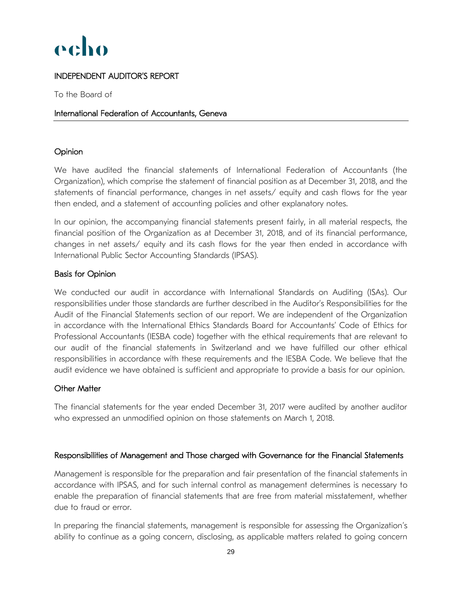# echo

## INDEPENDENT AUDITOR'S REPORT

To the Board of

## International Federation of Accountants, Geneva

## **Opinion**

We have audited the financial statements of International Federation of Accountants (the Organization), which comprise the statement of financial position as at December 31, 2018, and the statements of financial performance, changes in net assets/ equity and cash flows for the year then ended, and a statement of accounting policies and other explanatory notes.

In our opinion, the accompanying financial statements present fairly, in all material respects, the financial position of the Organization as at December 31, 2018, and of its financial performance, changes in net assets/ equity and its cash flows for the year then ended in accordance with International Public Sector Accounting Standards (IPSAS).

## Basis for Opinion

We conducted our audit in accordance with International Standards on Auditing (ISAs). Our responsibilities under those standards are further described in the Auditor's Responsibilities for the Audit of the Financial Statements section of our report. We are independent of the Organization in accordance with the International Ethics Standards Board for Accountants' Code of Ethics for Professional Accountants (IESBA code) together with the ethical requirements that are relevant to our audit of the financial statements in Switzerland and we have fulfilled our other ethical responsibilities in accordance with these requirements and the IESBA Code. We believe that the audit evidence we have obtained is sufficient and appropriate to provide a basis for our opinion.

## Other Matter

The financial statements for the year ended December 31, 2017 were audited by another auditor who expressed an unmodified opinion on those statements on March 1, 2018.

## Responsibilities of Management and Those charged with Governance for the Financial Statements

Management is responsible for the preparation and fair presentation of the financial statements in accordance with IPSAS, and for such internal control as management determines is necessary to enable the preparation of financial statements that are free from material misstatement, whether due to fraud or error.

In preparing the financial statements, management is responsible for assessing the Organization's ability to continue as a going concern, disclosing, as applicable matters related to going concern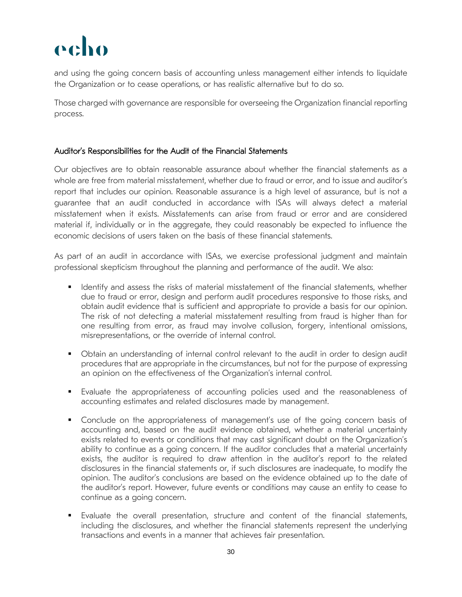

and using the going concern basis of accounting unless management either intends to liquidate the Organization or to cease operations, or has realistic alternative but to do so.

Those charged with governance are responsible for overseeing the Organization financial reporting process.

## Auditor's Responsibilities for the Audit of the Financial Statements

Our objectives are to obtain reasonable assurance about whether the financial statements as a whole are free from material misstatement, whether due to fraud or error, and to issue and auditor's report that includes our opinion. Reasonable assurance is a high level of assurance, but is not a guarantee that an audit conducted in accordance with ISAs will always detect a material misstatement when it exists. Misstatements can arise from fraud or error and are considered material if, individually or in the aggregate, they could reasonably be expected to influence the economic decisions of users taken on the basis of these financial statements.

As part of an audit in accordance with ISAs, we exercise professional judgment and maintain professional skepticism throughout the planning and performance of the audit. We also:

- **I** Identify and assess the risks of material misstatement of the financial statements, whether due to fraud or error, design and perform audit procedures responsive to those risks, and obtain audit evidence that is sufficient and appropriate to provide a basis for our opinion. The risk of not detecting a material misstatement resulting from fraud is higher than for one resulting from error, as fraud may involve collusion, forgery, intentional omissions, misrepresentations, or the override of internal control.
- Obtain an understanding of internal control relevant to the audit in order to design audit procedures that are appropriate in the circumstances, but not for the purpose of expressing an opinion on the effectiveness of the Organization's internal control.
- Evaluate the appropriateness of accounting policies used and the reasonableness of accounting estimates and related disclosures made by management.
- Conclude on the appropriateness of management's use of the going concern basis of accounting and, based on the audit evidence obtained, whether a material uncertainty exists related to events or conditions that may cast significant doubt on the Organization's ability to continue as a going concern. If the auditor concludes that a material uncertainty exists, the auditor is required to draw attention in the auditor's report to the related disclosures in the financial statements or, if such disclosures are inadequate, to modify the opinion. The auditor's conclusions are based on the evidence obtained up to the date of the auditor's report. However, future events or conditions may cause an entity to cease to continue as a going concern.
- Evaluate the overall presentation, structure and content of the financial statements, including the disclosures, and whether the financial statements represent the underlying transactions and events in a manner that achieves fair presentation.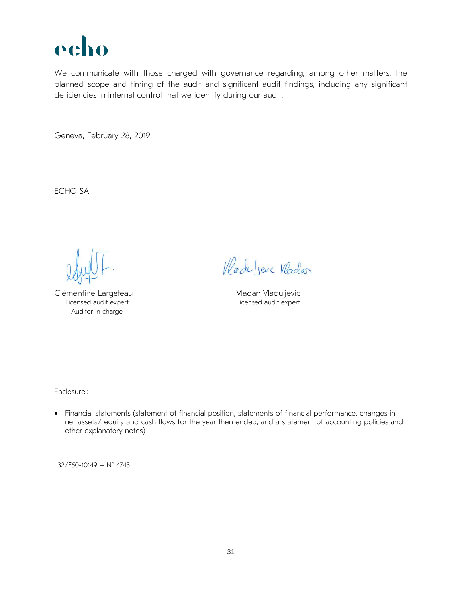

We communicate with those charged with governance regarding, among other matters, the planned scope and timing of the audit and significant audit findings, including any significant deficiencies in internal control that we identify during our audit.

Geneva, February 28, 2019

ECHO SA

Clémentine Largeteau Vladan Vladan Vladuljevic Licensed audit expert **Licensed audit expert** Auditor in charge

Wede Jeve Wadon

Enclosure :

 Financial statements (statement of financial position, statements of financial performance, changes in net assets/ equity and cash flows for the year then ended, and a statement of accounting policies and other explanatory notes)

L32/F50-10149 – N° 4743